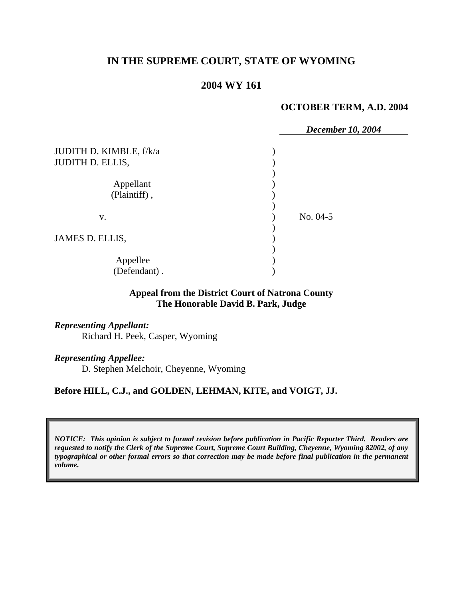# **IN THE SUPREME COURT, STATE OF WYOMING**

# **2004 WY 161**

#### **OCTOBER TERM, A.D. 2004**

|                           | December 10, 2004 |
|---------------------------|-------------------|
| JUDITH D. KIMBLE, f/k/a   |                   |
| <b>JUDITH D. ELLIS,</b>   |                   |
| Appellant<br>(Plaintiff), |                   |
| V.                        | No. 04-5          |
| JAMES D. ELLIS,           |                   |
| Appellee<br>(Defendant).  |                   |

### **Appeal from the District Court of Natrona County The Honorable David B. Park, Judge**

*Representing Appellant:*  Richard H. Peek, Casper, Wyoming

*Representing Appellee:*

D. Stephen Melchoir, Cheyenne, Wyoming

#### **Before HILL, C.J., and GOLDEN, LEHMAN, KITE, and VOIGT, JJ.**

*NOTICE: This opinion is subject to formal revision before publication in Pacific Reporter Third. Readers are requested to notify the Clerk of the Supreme Court, Supreme Court Building, Cheyenne, Wyoming 82002, of any typographical or other formal errors so that correction may be made before final publication in the permanent volume.*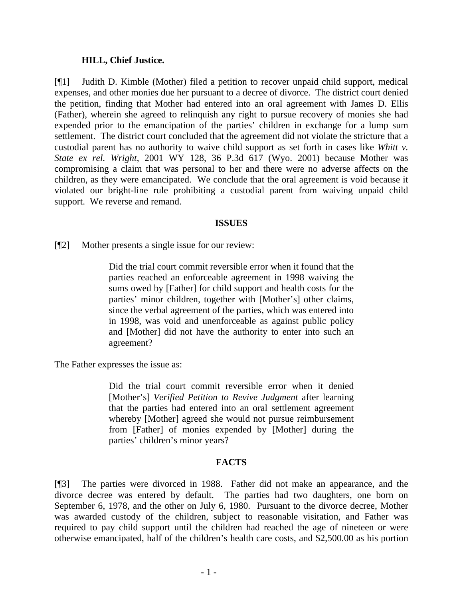### **HILL, Chief Justice.**

[¶1] Judith D. Kimble (Mother) filed a petition to recover unpaid child support, medical expenses, and other monies due her pursuant to a decree of divorce. The district court denied the petition, finding that Mother had entered into an oral agreement with James D. Ellis (Father), wherein she agreed to relinquish any right to pursue recovery of monies she had expended prior to the emancipation of the parties' children in exchange for a lump sum settlement. The district court concluded that the agreement did not violate the stricture that a custodial parent has no authority to waive child support as set forth in cases like *Whitt v. State ex rel. Wright*, 2001 WY 128, 36 P.3d 617 (Wyo. 2001) because Mother was compromising a claim that was personal to her and there were no adverse affects on the children, as they were emancipated. We conclude that the oral agreement is void because it violated our bright-line rule prohibiting a custodial parent from waiving unpaid child support. We reverse and remand.

### **ISSUES**

[¶2] Mother presents a single issue for our review:

Did the trial court commit reversible error when it found that the parties reached an enforceable agreement in 1998 waiving the sums owed by [Father] for child support and health costs for the parties' minor children, together with [Mother's] other claims, since the verbal agreement of the parties, which was entered into in 1998, was void and unenforceable as against public policy and [Mother] did not have the authority to enter into such an agreement?

The Father expresses the issue as:

Did the trial court commit reversible error when it denied [Mother's] *Verified Petition to Revive Judgment* after learning that the parties had entered into an oral settlement agreement whereby [Mother] agreed she would not pursue reimbursement from [Father] of monies expended by [Mother] during the parties' children's minor years?

## **FACTS**

[¶3] The parties were divorced in 1988. Father did not make an appearance, and the divorce decree was entered by default. The parties had two daughters, one born on September 6, 1978, and the other on July 6, 1980. Pursuant to the divorce decree, Mother was awarded custody of the children, subject to reasonable visitation, and Father was required to pay child support until the children had reached the age of nineteen or were otherwise emancipated, half of the children's health care costs, and \$2,500.00 as his portion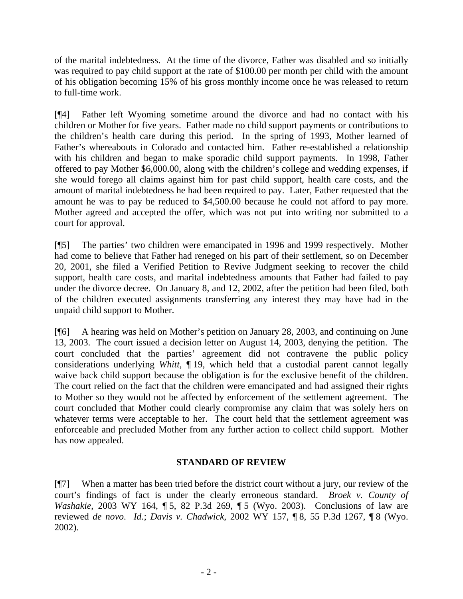of the marital indebtedness. At the time of the divorce, Father was disabled and so initially was required to pay child support at the rate of \$100.00 per month per child with the amount of his obligation becoming 15% of his gross monthly income once he was released to return to full-time work.

[¶4] Father left Wyoming sometime around the divorce and had no contact with his children or Mother for five years. Father made no child support payments or contributions to the children's health care during this period. In the spring of 1993, Mother learned of Father's whereabouts in Colorado and contacted him. Father re-established a relationship with his children and began to make sporadic child support payments. In 1998, Father offered to pay Mother \$6,000.00, along with the children's college and wedding expenses, if she would forego all claims against him for past child support, health care costs, and the amount of marital indebtedness he had been required to pay. Later, Father requested that the amount he was to pay be reduced to \$4,500.00 because he could not afford to pay more. Mother agreed and accepted the offer, which was not put into writing nor submitted to a court for approval.

[¶5] The parties' two children were emancipated in 1996 and 1999 respectively. Mother had come to believe that Father had reneged on his part of their settlement, so on December 20, 2001, she filed a Verified Petition to Revive Judgment seeking to recover the child support, health care costs, and marital indebtedness amounts that Father had failed to pay under the divorce decree. On January 8, and 12, 2002, after the petition had been filed, both of the children executed assignments transferring any interest they may have had in the unpaid child support to Mother.

[¶6] A hearing was held on Mother's petition on January 28, 2003, and continuing on June 13, 2003. The court issued a decision letter on August 14, 2003, denying the petition. The court concluded that the parties' agreement did not contravene the public policy considerations underlying *Whitt,* ¶ 19, which held that a custodial parent cannot legally waive back child support because the obligation is for the exclusive benefit of the children. The court relied on the fact that the children were emancipated and had assigned their rights to Mother so they would not be affected by enforcement of the settlement agreement. The court concluded that Mother could clearly compromise any claim that was solely hers on whatever terms were acceptable to her. The court held that the settlement agreement was enforceable and precluded Mother from any further action to collect child support. Mother has now appealed.

## **STANDARD OF REVIEW**

[¶7] When a matter has been tried before the district court without a jury, our review of the court's findings of fact is under the clearly erroneous standard. *Broek v. County of Washakie*, 2003 WY 164, 15, 82 P.3d 269, 15 (Wyo. 2003). Conclusions of law are reviewed *de novo*. *Id*.; *Davis v. Chadwick*, 2002 WY 157, ¶ 8, 55 P.3d 1267, ¶ 8 (Wyo. 2002).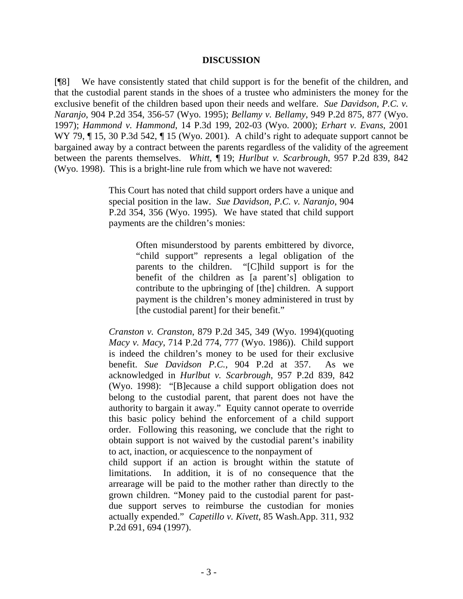#### **DISCUSSION**

[¶8] We have consistently stated that child support is for the benefit of the children, and that the custodial parent stands in the shoes of a trustee who administers the money for the exclusive benefit of the children based upon their needs and welfare. *Sue Davidson, P.C. v. Naranjo*, 904 P.2d 354, 356-57 (Wyo. 1995); *Bellamy v. Bellamy*, 949 P.2d 875, 877 (Wyo. 1997); *Hammond v. Hammond*, 14 P.3d 199, 202-03 (Wyo. 2000); *Erhart v. Evans*, 2001 WY 79,  $\P$  15, 30 P.3d 542,  $\P$  15 (Wyo. 2001). A child's right to adequate support cannot be bargained away by a contract between the parents regardless of the validity of the agreement between the parents themselves. *Whitt*, ¶ 19; *Hurlbut v. Scarbrough*, 957 P.2d 839, 842 (Wyo. 1998). This is a bright-line rule from which we have not wavered:

> This Court has noted that child support orders have a unique and special position in the law. *Sue Davidson, P.C. v. Naranjo*, 904 P.2d 354, 356 (Wyo. 1995). We have stated that child support payments are the children's monies:

> > Often misunderstood by parents embittered by divorce, "child support" represents a legal obligation of the parents to the children. "[C]hild support is for the benefit of the children as [a parent's] obligation to contribute to the upbringing of [the] children. A support payment is the children's money administered in trust by [the custodial parent] for their benefit."

*Cranston v. Cranston*, 879 P.2d 345, 349 (Wyo. 1994)(quoting *Macy v. Macy*, 714 P.2d 774, 777 (Wyo. 1986)). Child support is indeed the children's money to be used for their exclusive benefit. *Sue Davidson P.C.*, 904 P.2d at 357. As we acknowledged in *Hurlbut v. Scarbrough*, 957 P.2d 839, 842 (Wyo. 1998): "[B]ecause a child support obligation does not belong to the custodial parent, that parent does not have the authority to bargain it away." Equity cannot operate to override this basic policy behind the enforcement of a child support order. Following this reasoning, we conclude that the right to obtain support is not waived by the custodial parent's inability to act, inaction, or acquiescence to the nonpayment of child support if an action is brought within the statute of limitations. In addition, it is of no consequence that the arrearage will be paid to the mother rather than directly to the grown children. "Money paid to the custodial parent for past-

due support serves to reimburse the custodian for monies actually expended." *Capetillo v. Kivett*, 85 Wash.App. 311, 932 P.2d 691, 694 (1997).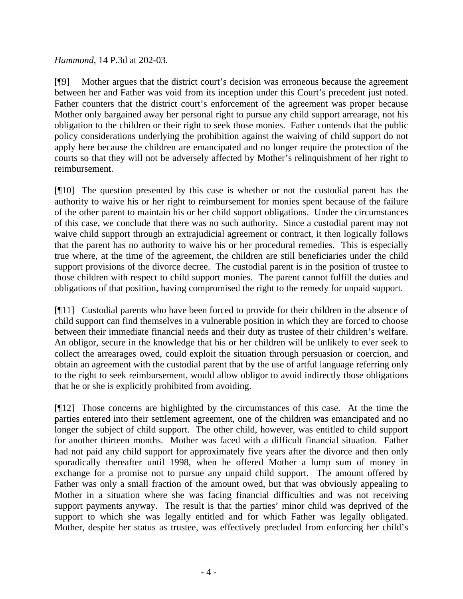# *Hammond*, 14 P.3d at 202-03.

[¶9] Mother argues that the district court's decision was erroneous because the agreement between her and Father was void from its inception under this Court's precedent just noted. Father counters that the district court's enforcement of the agreement was proper because Mother only bargained away her personal right to pursue any child support arrearage, not his obligation to the children or their right to seek those monies. Father contends that the public policy considerations underlying the prohibition against the waiving of child support do not apply here because the children are emancipated and no longer require the protection of the courts so that they will not be adversely affected by Mother's relinquishment of her right to reimbursement.

[¶10] The question presented by this case is whether or not the custodial parent has the authority to waive his or her right to reimbursement for monies spent because of the failure of the other parent to maintain his or her child support obligations. Under the circumstances of this case, we conclude that there was no such authority. Since a custodial parent may not waive child support through an extrajudicial agreement or contract, it then logically follows that the parent has no authority to waive his or her procedural remedies. This is especially true where, at the time of the agreement, the children are still beneficiaries under the child support provisions of the divorce decree. The custodial parent is in the position of trustee to those children with respect to child support monies. The parent cannot fulfill the duties and obligations of that position, having compromised the right to the remedy for unpaid support.

[¶11] Custodial parents who have been forced to provide for their children in the absence of child support can find themselves in a vulnerable position in which they are forced to choose between their immediate financial needs and their duty as trustee of their children's welfare. An obligor, secure in the knowledge that his or her children will be unlikely to ever seek to collect the arrearages owed, could exploit the situation through persuasion or coercion, and obtain an agreement with the custodial parent that by the use of artful language referring only to the right to seek reimbursement, would allow obligor to avoid indirectly those obligations that he or she is explicitly prohibited from avoiding.

[¶12] Those concerns are highlighted by the circumstances of this case. At the time the parties entered into their settlement agreement, one of the children was emancipated and no longer the subject of child support. The other child, however, was entitled to child support for another thirteen months. Mother was faced with a difficult financial situation. Father had not paid any child support for approximately five years after the divorce and then only sporadically thereafter until 1998, when he offered Mother a lump sum of money in exchange for a promise not to pursue any unpaid child support. The amount offered by Father was only a small fraction of the amount owed, but that was obviously appealing to Mother in a situation where she was facing financial difficulties and was not receiving support payments anyway. The result is that the parties' minor child was deprived of the support to which she was legally entitled and for which Father was legally obligated. Mother, despite her status as trustee, was effectively precluded from enforcing her child's